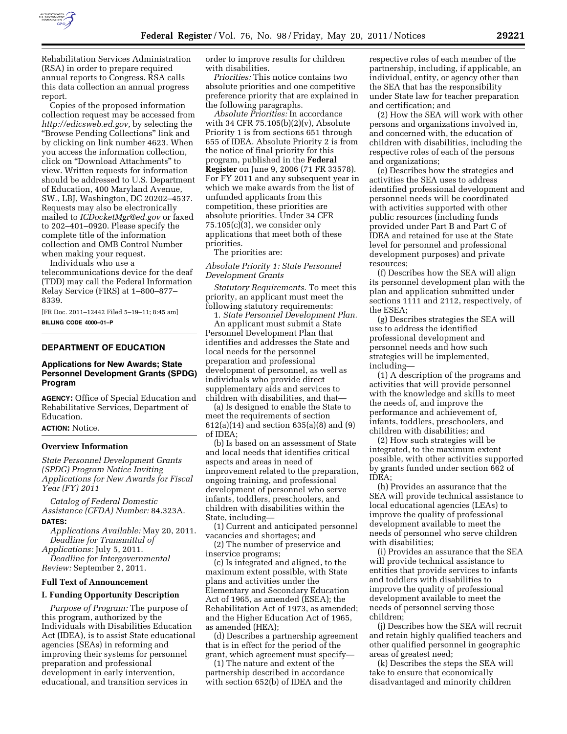

Rehabilitation Services Administration (RSA) in order to prepare required annual reports to Congress. RSA calls this data collection an annual progress

report. Copies of the proposed information collection request may be accessed from *[http://edicsweb.ed.gov,](http://edicsweb.ed.gov)* by selecting the ''Browse Pending Collections'' link and by clicking on link number 4623. When you access the information collection, click on ''Download Attachments'' to view. Written requests for information should be addressed to U.S. Department of Education, 400 Maryland Avenue, SW., LBJ, Washington, DC 20202–4537. Requests may also be electronically mailed to *[ICDocketMgr@ed.gov](mailto:ICDocketMgr@ed.gov)* or faxed to 202–401–0920. Please specify the complete title of the information collection and OMB Control Number when making your request.

Individuals who use a telecommunications device for the deaf (TDD) may call the Federal Information Relay Service (FIRS) at 1–800–877– 8339.

[FR Doc. 2011–12442 Filed 5–19–11; 8:45 am] **BILLING CODE 4000–01–P** 

## **DEPARTMENT OF EDUCATION**

# **Applications for New Awards; State Personnel Development Grants (SPDG) Program**

**AGENCY:** Office of Special Education and Rehabilitative Services, Department of Education.

# **ACTION:** Notice.

#### **Overview Information**

*State Personnel Development Grants (SPDG) Program Notice Inviting Applications for New Awards for Fiscal Year (FY) 2011* 

*Catalog of Federal Domestic Assistance (CFDA) Number:* 84.323A. **DATES:**

*Applications Available:* May 20, 2011.

*Deadline for Transmittal of Applications:* July 5, 2011. *Deadline for Intergovernmental Review:* September 2, 2011.

# **Full Text of Announcement**

#### **I. Funding Opportunity Description**

*Purpose of Program:* The purpose of this program, authorized by the Individuals with Disabilities Education Act (IDEA), is to assist State educational agencies (SEAs) in reforming and improving their systems for personnel preparation and professional development in early intervention, educational, and transition services in

order to improve results for children with disabilities.

*Priorities:* This notice contains two absolute priorities and one competitive preference priority that are explained in the following paragraphs.

*Absolute Priorities:* In accordance with 34 CFR 75.105(b)(2)(v), Absolute Priority 1 is from sections 651 through 655 of IDEA. Absolute Priority 2 is from the notice of final priority for this program, published in the **Federal Register** on June 9, 2006 (71 FR 33578). For FY 2011 and any subsequent year in which we make awards from the list of unfunded applicants from this competition, these priorities are absolute priorities. Under 34 CFR 75.105(c)(3), we consider only applications that meet both of these priorities.

The priorities are:

#### *Absolute Priority 1: State Personnel Development Grants*

*Statutory Requirements.* To meet this priority, an applicant must meet the following statutory requirements:

1. *State Personnel Development Plan.*  An applicant must submit a State Personnel Development Plan that identifies and addresses the State and local needs for the personnel preparation and professional development of personnel, as well as individuals who provide direct supplementary aids and services to children with disabilities, and that—

(a) Is designed to enable the State to meet the requirements of section 612(a)(14) and section 635(a)(8) and (9) of IDEA;

(b) Is based on an assessment of State and local needs that identifies critical aspects and areas in need of improvement related to the preparation, ongoing training, and professional development of personnel who serve infants, toddlers, preschoolers, and children with disabilities within the State, including—

(1) Current and anticipated personnel vacancies and shortages; and

(2) The number of preservice and inservice programs;

(c) Is integrated and aligned, to the maximum extent possible, with State plans and activities under the Elementary and Secondary Education Act of 1965, as amended (ESEA); the Rehabilitation Act of 1973, as amended; and the Higher Education Act of 1965, as amended (HEA);

(d) Describes a partnership agreement that is in effect for the period of the grant, which agreement must specify—

(1) The nature and extent of the partnership described in accordance with section 652(b) of IDEA and the

respective roles of each member of the partnership, including, if applicable, an individual, entity, or agency other than the SEA that has the responsibility under State law for teacher preparation and certification; and

(2) How the SEA will work with other persons and organizations involved in, and concerned with, the education of children with disabilities, including the respective roles of each of the persons and organizations;

(e) Describes how the strategies and activities the SEA uses to address identified professional development and personnel needs will be coordinated with activities supported with other public resources (including funds provided under Part B and Part C of IDEA and retained for use at the State level for personnel and professional development purposes) and private resources;

(f) Describes how the SEA will align its personnel development plan with the plan and application submitted under sections 1111 and 2112, respectively, of the ESEA;

(g) Describes strategies the SEA will use to address the identified professional development and personnel needs and how such strategies will be implemented, including—

(1) A description of the programs and activities that will provide personnel with the knowledge and skills to meet the needs of, and improve the performance and achievement of, infants, toddlers, preschoolers, and children with disabilities; and

(2) How such strategies will be integrated, to the maximum extent possible, with other activities supported by grants funded under section 662 of IDEA;

(h) Provides an assurance that the SEA will provide technical assistance to local educational agencies (LEAs) to improve the quality of professional development available to meet the needs of personnel who serve children with disabilities;

(i) Provides an assurance that the SEA will provide technical assistance to entities that provide services to infants and toddlers with disabilities to improve the quality of professional development available to meet the needs of personnel serving those children;

(j) Describes how the SEA will recruit and retain highly qualified teachers and other qualified personnel in geographic areas of greatest need;

(k) Describes the steps the SEA will take to ensure that economically disadvantaged and minority children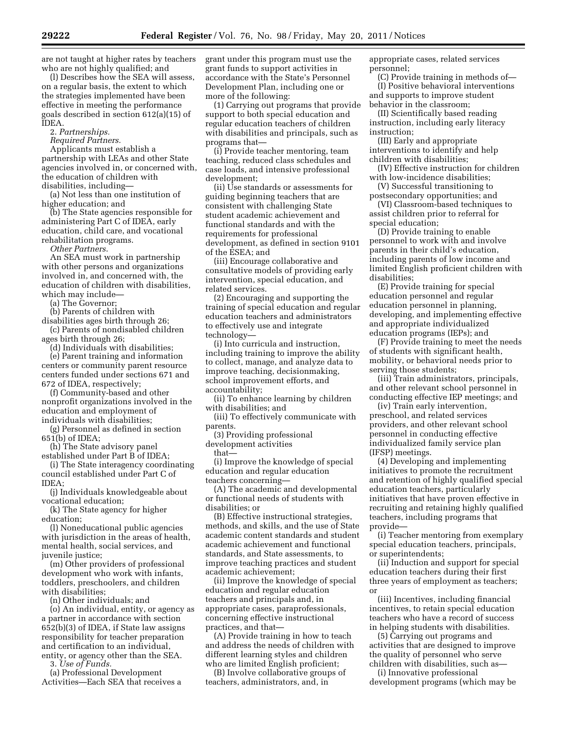are not taught at higher rates by teachers who are not highly qualified; and

(l) Describes how the SEA will assess, on a regular basis, the extent to which the strategies implemented have been effective in meeting the performance goals described in section 612(a)(15) of IDEA.

2. *Partnerships.* 

*Required Partners.* 

Applicants must establish a partnership with LEAs and other State agencies involved in, or concerned with, the education of children with disabilities, including—

(a) Not less than one institution of higher education; and

(b) The State agencies responsible for administering Part C of IDEA, early education, child care, and vocational rehabilitation programs.

*Other Partners*.

An SEA must work in partnership with other persons and organizations involved in, and concerned with, the education of children with disabilities, which may include—

(a) The Governor;

(b) Parents of children with

disabilities ages birth through 26; (c) Parents of nondisabled children

ages birth through 26;

(d) Individuals with disabilities; (e) Parent training and information centers or community parent resource centers funded under sections 671 and 672 of IDEA, respectively;

(f) Community-based and other nonprofit organizations involved in the education and employment of individuals with disabilities;

(g) Personnel as defined in section 651(b) of IDEA;

(h) The State advisory panel established under Part B of IDEA;

(i) The State interagency coordinating council established under Part C of  $IDEA$ 

(j) Individuals knowledgeable about vocational education;

(k) The State agency for higher education;

(l) Noneducational public agencies with jurisdiction in the areas of health, mental health, social services, and juvenile justice;

(m) Other providers of professional development who work with infants, toddlers, preschoolers, and children with disabilities;

(n) Other individuals; and

(o) An individual, entity, or agency as a partner in accordance with section 652(b)(3) of IDEA, if State law assigns responsibility for teacher preparation and certification to an individual, entity, or agency other than the SEA.

3. *Use of Funds.* 

(a) Professional Development Activities—Each SEA that receives a grant under this program must use the grant funds to support activities in accordance with the State's Personnel Development Plan, including one or more of the following:

(1) Carrying out programs that provide support to both special education and regular education teachers of children with disabilities and principals, such as programs that—

(i) Provide teacher mentoring, team teaching, reduced class schedules and case loads, and intensive professional development;

(ii) Use standards or assessments for guiding beginning teachers that are consistent with challenging State student academic achievement and functional standards and with the requirements for professional development, as defined in section 9101 of the ESEA; and

(iii) Encourage collaborative and consultative models of providing early intervention, special education, and related services.

(2) Encouraging and supporting the training of special education and regular education teachers and administrators to effectively use and integrate technology—

(i) Into curricula and instruction, including training to improve the ability to collect, manage, and analyze data to improve teaching, decisionmaking, school improvement efforts, and accountability;

(ii) To enhance learning by children with disabilities; and

(iii) To effectively communicate with parents.

(3) Providing professional

development activities

that—

(i) Improve the knowledge of special education and regular education teachers concerning—

(A) The academic and developmental or functional needs of students with disabilities; or

(B) Effective instructional strategies, methods, and skills, and the use of State academic content standards and student academic achievement and functional standards, and State assessments, to improve teaching practices and student academic achievement;

(ii) Improve the knowledge of special education and regular education teachers and principals and, in appropriate cases, paraprofessionals, concerning effective instructional practices, and that—

(A) Provide training in how to teach and address the needs of children with different learning styles and children who are limited English proficient;

(B) Involve collaborative groups of teachers, administrators, and, in

appropriate cases, related services personnel;

(C) Provide training in methods of— (I) Positive behavioral interventions and supports to improve student behavior in the classroom;

(II) Scientifically based reading instruction, including early literacy instruction;

(III) Early and appropriate interventions to identify and help children with disabilities;

(IV) Effective instruction for children with low-incidence disabilities;

(V) Successful transitioning to postsecondary opportunities; and

(VI) Classroom-based techniques to assist children prior to referral for special education;

(D) Provide training to enable personnel to work with and involve parents in their child's education, including parents of low income and limited English proficient children with disabilities;

(E) Provide training for special education personnel and regular education personnel in planning, developing, and implementing effective and appropriate individualized education programs (IEPs); and

(F) Provide training to meet the needs of students with significant health, mobility, or behavioral needs prior to serving those students;

(iii) Train administrators, principals, and other relevant school personnel in conducting effective IEP meetings; and

(iv) Train early intervention, preschool, and related services providers, and other relevant school personnel in conducting effective individualized family service plan (IFSP) meetings.

(4) Developing and implementing initiatives to promote the recruitment and retention of highly qualified special education teachers, particularly initiatives that have proven effective in recruiting and retaining highly qualified teachers, including programs that provide—

(i) Teacher mentoring from exemplary special education teachers, principals, or superintendents;

(ii) Induction and support for special education teachers during their first three years of employment as teachers; or

(iii) Incentives, including financial incentives, to retain special education teachers who have a record of success in helping students with disabilities.

(5) Carrying out programs and activities that are designed to improve the quality of personnel who serve children with disabilities, such as—

(i) Innovative professional development programs (which may be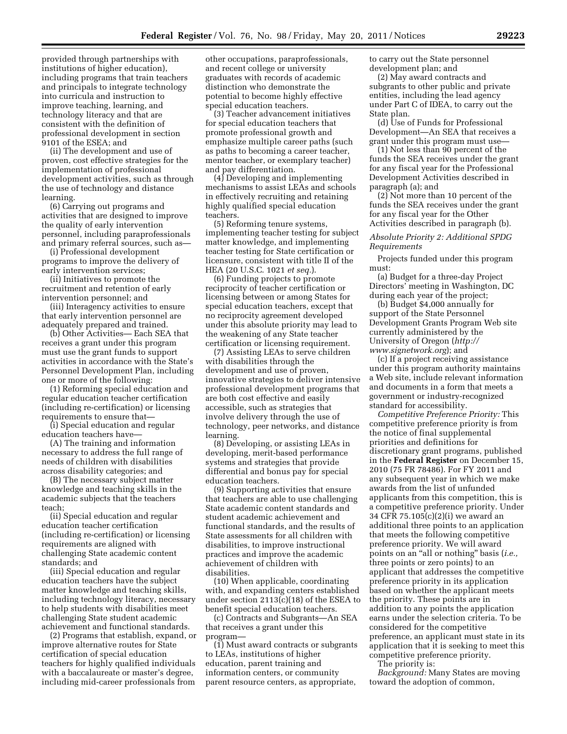provided through partnerships with institutions of higher education), including programs that train teachers and principals to integrate technology into curricula and instruction to improve teaching, learning, and technology literacy and that are consistent with the definition of professional development in section 9101 of the ESEA; and

(ii) The development and use of proven, cost effective strategies for the implementation of professional development activities, such as through the use of technology and distance learning.

(6) Carrying out programs and activities that are designed to improve the quality of early intervention personnel, including paraprofessionals and primary referral sources, such as—

(i) Professional development programs to improve the delivery of early intervention services;

(ii) Initiatives to promote the recruitment and retention of early intervention personnel; and

(iii) Interagency activities to ensure that early intervention personnel are adequately prepared and trained.

(b) Other Activities— Each SEA that receives a grant under this program must use the grant funds to support activities in accordance with the State's Personnel Development Plan, including one or more of the following:

(1) Reforming special education and regular education teacher certification (including re-certification) or licensing requirements to ensure that—

(i) Special education and regular education teachers have—

(A) The training and information necessary to address the full range of needs of children with disabilities across disability categories; and

(B) The necessary subject matter knowledge and teaching skills in the academic subjects that the teachers teach;

(ii) Special education and regular education teacher certification (including re-certification) or licensing requirements are aligned with challenging State academic content standards; and

(iii) Special education and regular education teachers have the subject matter knowledge and teaching skills, including technology literacy, necessary to help students with disabilities meet challenging State student academic achievement and functional standards.

(2) Programs that establish, expand, or improve alternative routes for State certification of special education teachers for highly qualified individuals with a baccalaureate or master's degree, including mid-career professionals from

other occupations, paraprofessionals, and recent college or university graduates with records of academic distinction who demonstrate the potential to become highly effective special education teachers.

(3) Teacher advancement initiatives for special education teachers that promote professional growth and emphasize multiple career paths (such as paths to becoming a career teacher, mentor teacher, or exemplary teacher) and pay differentiation.

(4) Developing and implementing mechanisms to assist LEAs and schools in effectively recruiting and retaining highly qualified special education teachers.

(5) Reforming tenure systems, implementing teacher testing for subject matter knowledge, and implementing teacher testing for State certification or licensure, consistent with title II of the HEA (20 U.S.C. 1021 *et seq.*).

(6) Funding projects to promote reciprocity of teacher certification or licensing between or among States for special education teachers, except that no reciprocity agreement developed under this absolute priority may lead to the weakening of any State teacher certification or licensing requirement.

(7) Assisting LEAs to serve children with disabilities through the development and use of proven, innovative strategies to deliver intensive professional development programs that are both cost effective and easily accessible, such as strategies that involve delivery through the use of technology, peer networks, and distance learning.

(8) Developing, or assisting LEAs in developing, merit-based performance systems and strategies that provide differential and bonus pay for special education teachers.

(9) Supporting activities that ensure that teachers are able to use challenging State academic content standards and student academic achievement and functional standards, and the results of State assessments for all children with disabilities, to improve instructional practices and improve the academic achievement of children with disabilities.

(10) When applicable, coordinating with, and expanding centers established under section 2113(c)(18) of the ESEA to benefit special education teachers.

(c) Contracts and Subgrants—An SEA that receives a grant under this program—

(1) Must award contracts or subgrants to LEAs, institutions of higher education, parent training and information centers, or community parent resource centers, as appropriate,

to carry out the State personnel development plan; and

(2) May award contracts and subgrants to other public and private entities, including the lead agency under Part C of IDEA, to carry out the State plan.

(d) Use of Funds for Professional Development—An SEA that receives a grant under this program must use—

(1) Not less than 90 percent of the funds the SEA receives under the grant for any fiscal year for the Professional Development Activities described in paragraph (a); and

(2) Not more than 10 percent of the funds the SEA receives under the grant for any fiscal year for the Other Activities described in paragraph (b).

# *Absolute Priority 2: Additional SPDG Requirements*

Projects funded under this program must:

(a) Budget for a three-day Project Directors' meeting in Washington, DC during each year of the project;

(b) Budget \$4,000 annually for support of the State Personnel Development Grants Program Web site currently administered by the University of Oregon (*[http://](http://www.signetwork.org) [www.signetwork.org](http://www.signetwork.org)*); and

(c) If a project receiving assistance under this program authority maintains a Web site, include relevant information and documents in a form that meets a government or industry-recognized standard for accessibility.

*Competitive Preference Priority:* This competitive preference priority is from the notice of final supplemental priorities and definitions for discretionary grant programs, published in the **Federal Register** on December 15, 2010 (75 FR 78486). For FY 2011 and any subsequent year in which we make awards from the list of unfunded applicants from this competition, this is a competitive preference priority. Under 34 CFR 75.105(c)(2)(i) we award an additional three points to an application that meets the following competitive preference priority. We will award points on an ''all or nothing'' basis (*i.e.,*  three points or zero points) to an applicant that addresses the competitive preference priority in its application based on whether the applicant meets the priority. These points are in addition to any points the application earns under the selection criteria. To be considered for the competitive preference, an applicant must state in its application that it is seeking to meet this competitive preference priority.

The priority is:

*Background:* Many States are moving toward the adoption of common,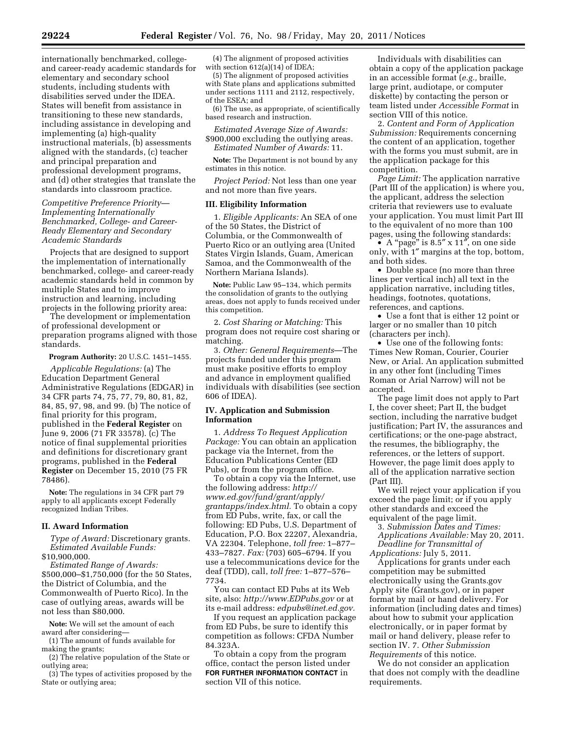internationally benchmarked, collegeand career-ready academic standards for elementary and secondary school students, including students with disabilities served under the IDEA. States will benefit from assistance in transitioning to these new standards, including assistance in developing and implementing (a) high-quality instructional materials, (b) assessments aligned with the standards, (c) teacher and principal preparation and professional development programs, and (d) other strategies that translate the standards into classroom practice.

# *Competitive Preference Priority— Implementing Internationally Benchmarked, College- and Career-Ready Elementary and Secondary Academic Standards*

Projects that are designed to support the implementation of internationally benchmarked, college- and career-ready academic standards held in common by multiple States and to improve instruction and learning, including projects in the following priority area:

The development or implementation of professional development or preparation programs aligned with those standards.

**Program Authority:** 20 U.S.C. 1451–1455.

*Applicable Regulations:* (a) The Education Department General Administrative Regulations (EDGAR) in 34 CFR parts 74, 75, 77, 79, 80, 81, 82, 84, 85, 97, 98, and 99. (b) The notice of final priority for this program, published in the **Federal Register** on June 9, 2006 (71 FR 33578). (c) The notice of final supplemental priorities and definitions for discretionary grant programs, published in the **Federal Register** on December 15, 2010 (75 FR 78486).

**Note:** The regulations in 34 CFR part 79 apply to all applicants except Federally recognized Indian Tribes.

### **II. Award Information**

*Type of Award:* Discretionary grants. *Estimated Available Funds:*  \$10,900,000.

*Estimated Range of Awards:*  \$500,000–\$1,750,000 (for the 50 States, the District of Columbia, and the Commonwealth of Puerto Rico). In the case of outlying areas, awards will be not less than \$80,000.

**Note:** We will set the amount of each award after considering—

(1) The amount of funds available for making the grants;

(2) The relative population of the State or outlying area;

(3) The types of activities proposed by the State or outlying area;

(4) The alignment of proposed activities with section 612(a)(14) of IDEA;

(5) The alignment of proposed activities with State plans and applications submitted under sections 1111 and 2112, respectively, of the ESEA; and

(6) The use, as appropriate, of scientifically based research and instruction.

*Estimated Average Size of Awards:*  \$900,000 excluding the outlying areas. *Estimated Number of Awards:* 11.

**Note:** The Department is not bound by any estimates in this notice.

*Project Period:* Not less than one year and not more than five years.

#### **III. Eligibility Information**

1. *Eligible Applicants:* An SEA of one of the 50 States, the District of Columbia, or the Commonwealth of Puerto Rico or an outlying area (United States Virgin Islands, Guam, American Samoa, and the Commonwealth of the Northern Mariana Islands).

**Note:** Public Law 95–134, which permits the consolidation of grants to the outlying areas, does not apply to funds received under this competition.

2. *Cost Sharing or Matching:* This program does not require cost sharing or matching.

3. *Other: General Requirements*—The projects funded under this program must make positive efforts to employ and advance in employment qualified individuals with disabilities (see section 606 of IDEA).

#### **IV. Application and Submission Information**

1. *Address To Request Application Package:* You can obtain an application package via the Internet, from the Education Publications Center (ED Pubs), or from the program office.

To obtain a copy via the Internet, use the following address: *[http://](http://www.ed.gov/fund/grant/apply/grantapps/index.html) [www.ed.gov/fund/grant/apply/](http://www.ed.gov/fund/grant/apply/grantapps/index.html) [grantapps/index.html.](http://www.ed.gov/fund/grant/apply/grantapps/index.html)* To obtain a copy from ED Pubs, write, fax, or call the following: ED Pubs, U.S. Department of Education, P.O. Box 22207, Alexandria, VA 22304. Telephone, *toll free:* 1–877– 433–7827. *Fax:* (703) 605–6794. If you use a telecommunications device for the deaf (TDD), call, *toll free:* 1–877–576– 7734.

You can contact ED Pubs at its Web site, also: *<http://www.EDPubs.gov>* or at its e-mail address: *[edpubs@inet.ed.gov.](mailto:edpubs@inet.ed.gov)* 

If you request an application package from ED Pubs, be sure to identify this competition as follows: CFDA Number 84.323A.

To obtain a copy from the program office, contact the person listed under **FOR FURTHER INFORMATION CONTACT** in section VII of this notice.

Individuals with disabilities can obtain a copy of the application package in an accessible format (*e.g.,* braille, large print, audiotape, or computer diskette) by contacting the person or team listed under *Accessible Format* in section VIII of this notice.

2. *Content and Form of Application Submission:* Requirements concerning the content of an application, together with the forms you must submit, are in the application package for this competition.

*Page Limit:* The application narrative (Part III of the application) is where you, the applicant, address the selection criteria that reviewers use to evaluate your application. You must limit Part III to the equivalent of no more than 100 pages, using the following standards:

• A "page" is  $8.5$ " x  $11$ ", on one side only, with 1″ margins at the top, bottom, and both sides.

• Double space (no more than three lines per vertical inch) all text in the application narrative, including titles, headings, footnotes, quotations, references, and captions.

• Use a font that is either 12 point or larger or no smaller than 10 pitch (characters per inch).

• Use one of the following fonts: Times New Roman, Courier, Courier New, or Arial. An application submitted in any other font (including Times Roman or Arial Narrow) will not be accepted.

The page limit does not apply to Part I, the cover sheet; Part II, the budget section, including the narrative budget justification; Part IV, the assurances and certifications; or the one-page abstract, the resumes, the bibliography, the references, or the letters of support. However, the page limit does apply to all of the application narrative section (Part III).

We will reject your application if you exceed the page limit; or if you apply other standards and exceed the equivalent of the page limit.

3. *Submission Dates and Times: Applications Available:* May 20, 2011.

*Deadline for Transmittal of Applications:* July 5, 2011.

Applications for grants under each competition may be submitted electronically using the Grants.gov Apply site (Grants.gov), or in paper format by mail or hand delivery. For information (including dates and times) about how to submit your application electronically, or in paper format by mail or hand delivery, please refer to section IV. 7. *Other Submission Requirements* of this notice.

We do not consider an application that does not comply with the deadline requirements.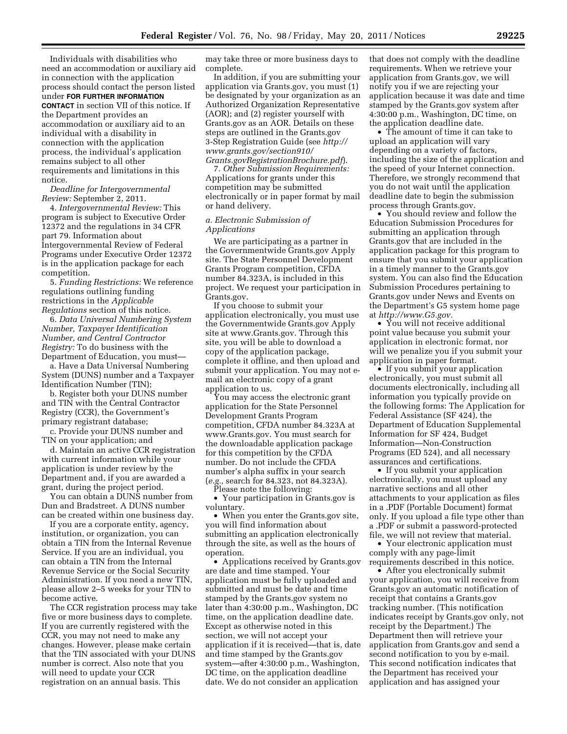Individuals with disabilities who need an accommodation or auxiliary aid in connection with the application process should contact the person listed under **FOR FURTHER INFORMATION CONTACT** in section VII of this notice. If the Department provides an accommodation or auxiliary aid to an individual with a disability in connection with the application process, the individual's application remains subject to all other requirements and limitations in this notice.

*Deadline for Intergovernmental Review:* September 2, 2011.

4. *Intergovernmental Review:* This program is subject to Executive Order 12372 and the regulations in 34 CFR part 79. Information about Intergovernmental Review of Federal Programs under Executive Order 12372 is in the application package for each competition.

5. *Funding Restrictions:* We reference regulations outlining funding restrictions in the *Applicable Regulations* section of this notice.

6. *Data Universal Numbering System Number, Taxpayer Identification Number, and Central Contractor Registry:* To do business with the Department of Education, you must—

a. Have a Data Universal Numbering System (DUNS) number and a Taxpayer Identification Number (TIN);

b. Register both your DUNS number and TIN with the Central Contractor Registry (CCR), the Government's primary registrant database;

c. Provide your DUNS number and TIN on your application; and

d. Maintain an active CCR registration with current information while your application is under review by the Department and, if you are awarded a grant, during the project period.

You can obtain a DUNS number from Dun and Bradstreet. A DUNS number can be created within one business day.

If you are a corporate entity, agency, institution, or organization, you can obtain a TIN from the Internal Revenue Service. If you are an individual, you can obtain a TIN from the Internal Revenue Service or the Social Security Administration. If you need a new TIN, please allow 2–5 weeks for your TIN to become active.

The CCR registration process may take five or more business days to complete. If you are currently registered with the CCR, you may not need to make any changes. However, please make certain that the TIN associated with your DUNS number is correct. Also note that you will need to update your CCR registration on an annual basis. This

may take three or more business days to complete.

In addition, if you are submitting your application via Grants.gov, you must (1) be designated by your organization as an Authorized Organization Representative (AOR); and (2) register yourself with Grants.gov as an AOR. Details on these steps are outlined in the Grants.gov 3-Step Registration Guide (see *[http://](http://www.grants.gov/section910/Grants.govRegistrationBrochure.pdf) [www.grants.gov/section910/](http://www.grants.gov/section910/Grants.govRegistrationBrochure.pdf)  [Grants.govRegistrationBrochure.pdf](http://www.grants.gov/section910/Grants.govRegistrationBrochure.pdf)*).

7. *Other Submission Requirements:*  Applications for grants under this competition may be submitted electronically or in paper format by mail or hand delivery.

# *a. Electronic Submission of Applications*

We are participating as a partner in the Governmentwide Grants.gov Apply site. The State Personnel Development Grants Program competition, CFDA number 84.323A, is included in this project. We request your participation in Grants.gov.

If you choose to submit your application electronically, you must use the Governmentwide Grants.gov Apply site at www.Grants.gov. Through this site, you will be able to download a copy of the application package, complete it offline, and then upload and submit your application. You may not email an electronic copy of a grant application to us.

You may access the electronic grant application for the State Personnel Development Grants Program competition, CFDA number 84.323A at www.Grants.gov. You must search for the downloadable application package for this competition by the CFDA number. Do not include the CFDA number's alpha suffix in your search (*e.g.,* search for 84.323, not 84.323A).

Please note the following: • Your participation in Grants.gov is voluntary.

• When you enter the Grants.gov site, you will find information about submitting an application electronically through the site, as well as the hours of operation.

• Applications received by Grants.gov are date and time stamped. Your application must be fully uploaded and submitted and must be date and time stamped by the Grants.gov system no later than 4:30:00 p.m., Washington, DC time, on the application deadline date. Except as otherwise noted in this section, we will not accept your application if it is received—that is, date and time stamped by the Grants.gov system—after 4:30:00 p.m., Washington, DC time, on the application deadline date. We do not consider an application

that does not comply with the deadline requirements. When we retrieve your application from Grants.gov, we will notify you if we are rejecting your application because it was date and time stamped by the Grants.gov system after 4:30:00 p.m., Washington, DC time, on the application deadline date.

• The amount of time it can take to upload an application will vary depending on a variety of factors, including the size of the application and the speed of your Internet connection. Therefore, we strongly recommend that you do not wait until the application deadline date to begin the submission process through Grants.gov.

• You should review and follow the Education Submission Procedures for submitting an application through Grants.gov that are included in the application package for this program to ensure that you submit your application in a timely manner to the Grants.gov system. You can also find the Education Submission Procedures pertaining to Grants.gov under News and Events on the Department's G5 system home page at *[http://www.G5.gov.](http://www.G5.gov)* 

• You will not receive additional point value because you submit your application in electronic format, nor will we penalize you if you submit your application in paper format.

• If you submit your application electronically, you must submit all documents electronically, including all information you typically provide on the following forms: The Application for Federal Assistance (SF 424), the Department of Education Supplemental Information for SF 424, Budget Information—Non-Construction Programs (ED 524), and all necessary assurances and certifications.

• If you submit your application electronically, you must upload any narrative sections and all other attachments to your application as files in a .PDF (Portable Document) format only. If you upload a file type other than a .PDF or submit a password-protected file, we will not review that material.

• Your electronic application must comply with any page-limit requirements described in this notice.

• After you electronically submit your application, you will receive from Grants.gov an automatic notification of receipt that contains a Grants.gov tracking number. (This notification indicates receipt by Grants.gov only, not receipt by the Department.) The Department then will retrieve your application from Grants.gov and send a second notification to you by e-mail. This second notification indicates that the Department has received your application and has assigned your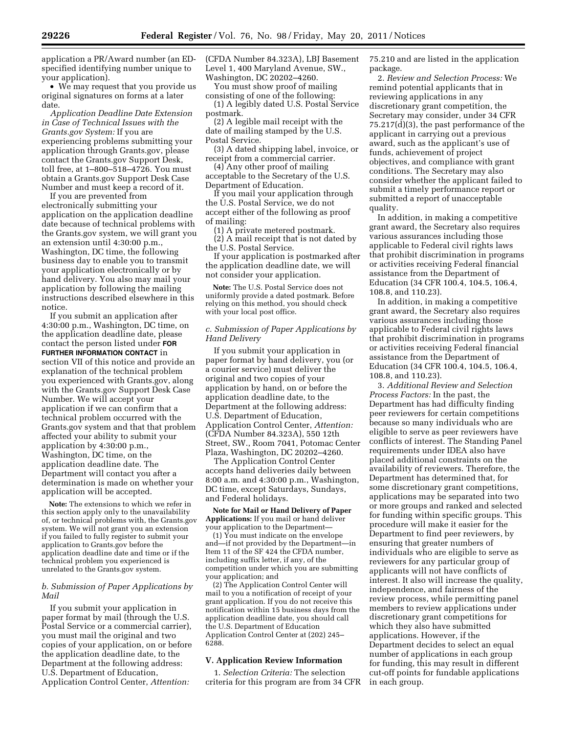application a PR/Award number (an EDspecified identifying number unique to your application).

• We may request that you provide us original signatures on forms at a later date.

*Application Deadline Date Extension in Case of Technical Issues with the Grants.gov System:* If you are experiencing problems submitting your application through Grants.gov, please contact the Grants.gov Support Desk, toll free, at 1–800–518–4726. You must obtain a Grants.gov Support Desk Case Number and must keep a record of it.

If you are prevented from electronically submitting your application on the application deadline date because of technical problems with the Grants.gov system, we will grant you an extension until 4:30:00 p.m., Washington, DC time, the following business day to enable you to transmit your application electronically or by hand delivery. You also may mail your application by following the mailing instructions described elsewhere in this notice.

If you submit an application after 4:30:00 p.m., Washington, DC time, on the application deadline date, please contact the person listed under **FOR FURTHER INFORMATION CONTACT** in section VII of this notice and provide an explanation of the technical problem you experienced with Grants.gov, along with the Grants.gov Support Desk Case Number. We will accept your application if we can confirm that a technical problem occurred with the Grants.gov system and that that problem affected your ability to submit your application by 4:30:00 p.m., Washington, DC time, on the application deadline date. The Department will contact you after a determination is made on whether your application will be accepted.

**Note:** The extensions to which we refer in this section apply only to the unavailability of, or technical problems with, the Grants.gov system. We will not grant you an extension if you failed to fully register to submit your application to Grants.gov before the application deadline date and time or if the technical problem you experienced is unrelated to the Grants.gov system.

# *b. Submission of Paper Applications by Mail*

If you submit your application in paper format by mail (through the U.S. Postal Service or a commercial carrier), you must mail the original and two copies of your application, on or before the application deadline date, to the Department at the following address: U.S. Department of Education, Application Control Center, *Attention:* 

(CFDA Number 84.323A), LBJ Basement Level 1, 400 Maryland Avenue, SW., Washington, DC 20202–4260.

You must show proof of mailing consisting of one of the following:

(1) A legibly dated U.S. Postal Service postmark.

(2) A legible mail receipt with the date of mailing stamped by the U.S. Postal Service.

(3) A dated shipping label, invoice, or receipt from a commercial carrier.

(4) Any other proof of mailing acceptable to the Secretary of the U.S. Department of Education.

If you mail your application through the U.S. Postal Service, we do not accept either of the following as proof of mailing:

(1) A private metered postmark. (2) A mail receipt that is not dated by the U.S. Postal Service.

If your application is postmarked after the application deadline date, we will not consider your application.

**Note:** The U.S. Postal Service does not uniformly provide a dated postmark. Before relying on this method, you should check with your local post office.

# *c. Submission of Paper Applications by Hand Delivery*

If you submit your application in paper format by hand delivery, you (or a courier service) must deliver the original and two copies of your application by hand, on or before the application deadline date, to the Department at the following address: U.S. Department of Education, Application Control Center, *Attention:*  (CFDA Number 84.323A), 550 12th Street, SW., Room 7041, Potomac Center Plaza, Washington, DC 20202–4260.

The Application Control Center accepts hand deliveries daily between 8:00 a.m. and 4:30:00 p.m., Washington, DC time, except Saturdays, Sundays, and Federal holidays.

**Note for Mail or Hand Delivery of Paper Applications:** If you mail or hand deliver your application to the Department—

(1) You must indicate on the envelope and—if not provided by the Department—in Item 11 of the SF 424 the CFDA number, including suffix letter, if any, of the competition under which you are submitting your application; and

(2) The Application Control Center will mail to you a notification of receipt of your grant application. If you do not receive this notification within 15 business days from the application deadline date, you should call the U.S. Department of Education Application Control Center at (202) 245– 6288.

# **V. Application Review Information**

1. *Selection Criteria:* The selection criteria for this program are from 34 CFR 75.210 and are listed in the application package.

2. *Review and Selection Process:* We remind potential applicants that in reviewing applications in any discretionary grant competition, the Secretary may consider, under 34 CFR 75.217(d)(3), the past performance of the applicant in carrying out a previous award, such as the applicant's use of funds, achievement of project objectives, and compliance with grant conditions. The Secretary may also consider whether the applicant failed to submit a timely performance report or submitted a report of unacceptable quality.

In addition, in making a competitive grant award, the Secretary also requires various assurances including those applicable to Federal civil rights laws that prohibit discrimination in programs or activities receiving Federal financial assistance from the Department of Education (34 CFR 100.4, 104.5, 106.4, 108.8, and 110.23).

In addition, in making a competitive grant award, the Secretary also requires various assurances including those applicable to Federal civil rights laws that prohibit discrimination in programs or activities receiving Federal financial assistance from the Department of Education (34 CFR 100.4, 104.5, 106.4, 108.8, and 110.23).

3. *Additional Review and Selection Process Factors:* In the past, the Department has had difficulty finding peer reviewers for certain competitions because so many individuals who are eligible to serve as peer reviewers have conflicts of interest. The Standing Panel requirements under IDEA also have placed additional constraints on the availability of reviewers. Therefore, the Department has determined that, for some discretionary grant competitions, applications may be separated into two or more groups and ranked and selected for funding within specific groups. This procedure will make it easier for the Department to find peer reviewers, by ensuring that greater numbers of individuals who are eligible to serve as reviewers for any particular group of applicants will not have conflicts of interest. It also will increase the quality, independence, and fairness of the review process, while permitting panel members to review applications under discretionary grant competitions for which they also have submitted applications. However, if the Department decides to select an equal number of applications in each group for funding, this may result in different cut-off points for fundable applications in each group.